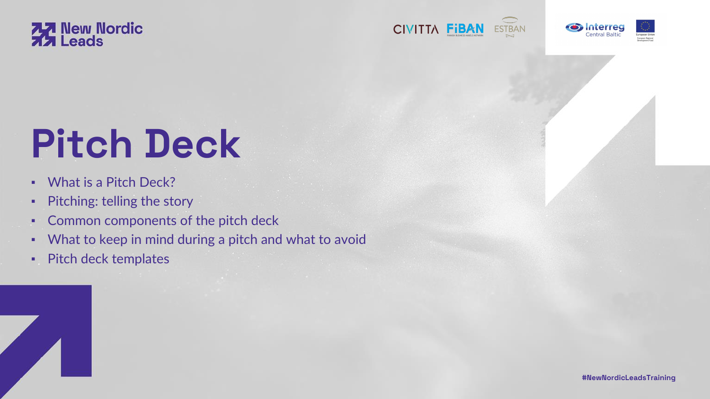

# **Pitch Deck**

- **· What is a Pitch Deck?**
- **·** Pitching: telling the story
- **Common components of the pitch deck**
- What to keep in mind during a pitch and what to avoid
- Pitch deck templates











**#NewNordicLeadsTraining**

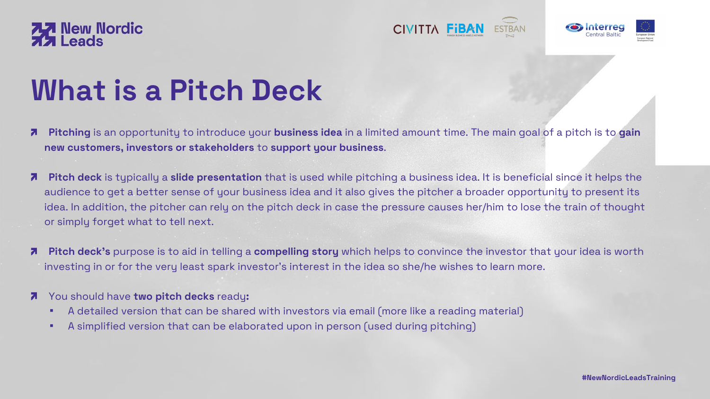**Pitching** is an opportunity to introduce your **business idea** in a limited amount time. The main goal of a pitch is to **gain**

**Pitch deck** is typically a **slide presentation** that is used while pitching a business idea. It is beneficial since it helps the audience to get a better sense of your business idea and it also gives the pitcher a broader opportunity to present its idea. In addition, the pitcher can rely on the pitch deck in case the pressure causes her/him to lose the train of thought

**Pitch deck's** purpose is to aid in telling a **compelling story** which helps to convince the investor that your idea is worth





## **What is a Pitch Deck**

- Ζ **new customers, investors or stakeholders** to **support your business**.
- Ζ or simply forget what to tell next.
- Ζ investing in or for the very least spark investor's interest in the idea so she/he wishes to learn more.
- You should have **two pitch decks** ready**:**  $\mathbf{z}$ 
	- **A detailed version that can be shared with investors via email (more like a reading material)**
	- **A simplified version that can be elaborated upon in person (used during pitching)**





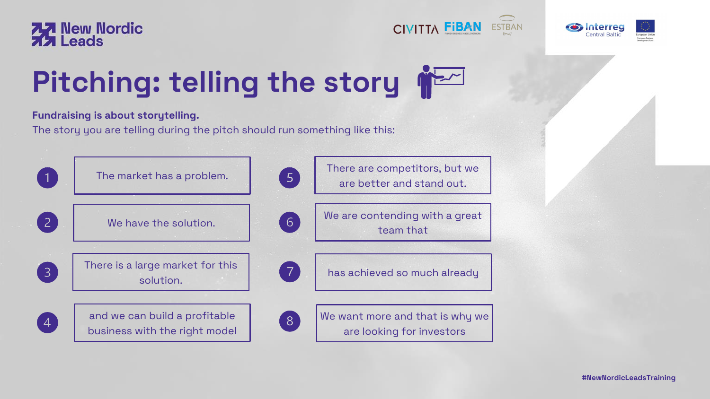#### **Fundraising is about storytelling.**

The story you are telling during the pitch should run something like this:





#### **Pitching: telling the story**

We are contending with a great team that









We want more and that is why we are looking for investors

There are competitors, but we are better and stand out.

has achieved so much already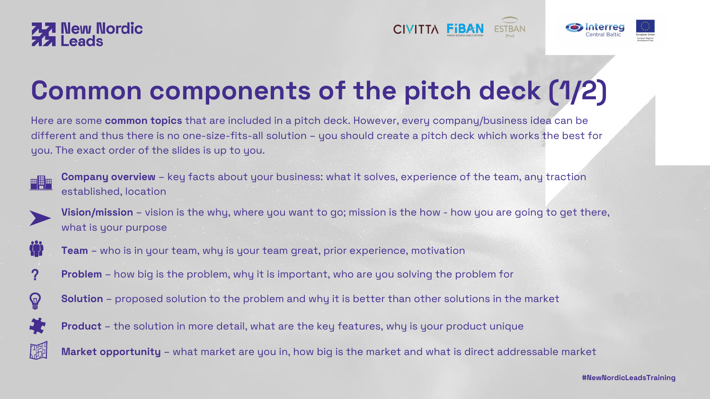Here are some **common topics** that are included in a pitch deck. However, every company/business idea can be different and thus there is no one-size-fits-all solution – you should create a pitch deck which works the best for you. The exact order of the slides is up to you.







## **Common components of the pitch deck (1/2)**

**Company overview** – key facts about your business: what it solves, experience of the team, any traction established, location



what is your purpose



- 
- **Vision/mission** vision is the why, where you want to go; mission is the how how you are going to get there,
	-
	-
	-
	-
	-

**Team** – who is in your team, why is your team great, prior experience, motivation

**Problem** – how big is the problem, why it is important, who are you solving the problem for



**Solution** – proposed solution to the problem and why it is better than other solutions in the market



**Product** – the solution in more detail, what are the key features, why is your product unique



**Market opportunity** – what market are you in, how big is the market and what is direct addressable market







?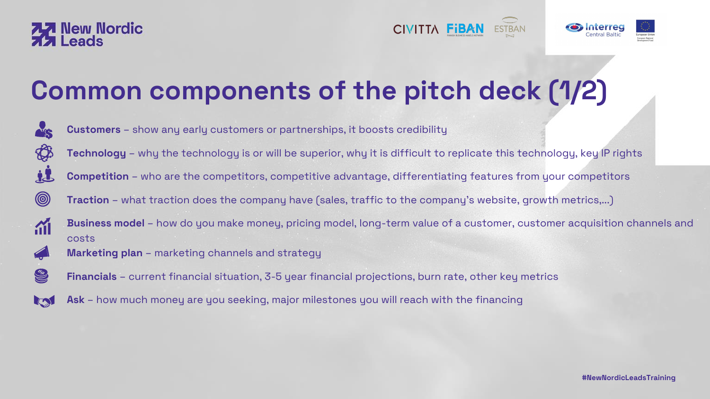



## **Common components of the pitch deck (1/2)**



 $\circledcirc$ 

m

K

S

**Customers** – show any early customers or partnerships, it boosts credibility **Technology** – why the technology is or will be superior, why it is difficult to replicate this technology, key IP rights **Competition** – who are the competitors, competitive advantage, differentiating features from your competitors **Traction** – what traction does the company have (sales, traffic to the company's website, growth metrics,...) **Business model** – how do you make money, pricing model, long-term value of a customer, customer acquisition channels and costs **Marketing plan** – marketing channels and strategy



**Financials** – current financial situation, 3-5 year financial projections, burn rate, other key metrics

**Ask** – how much money are you seeking, major milestones you will reach with the financing





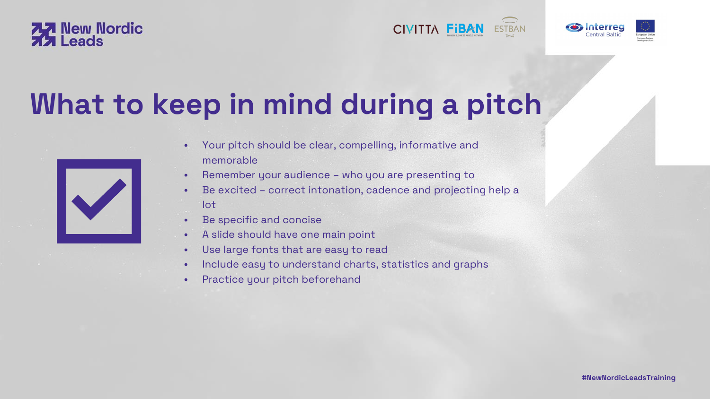• Be excited – correct intonation, cadence and projecting help a

- Your pitch should be clear, compelling, informative and memorable
- Remember your audience who you are presenting to
- lot
- Be specific and concise
- A slide should have one main point
- Use large fonts that are easy to read
- 
- Practice your pitch beforehand







• Include easy to understand charts, statistics and graphs

**#NewNordicLeadsTraining**





## **What to keep in mind during a pitch**

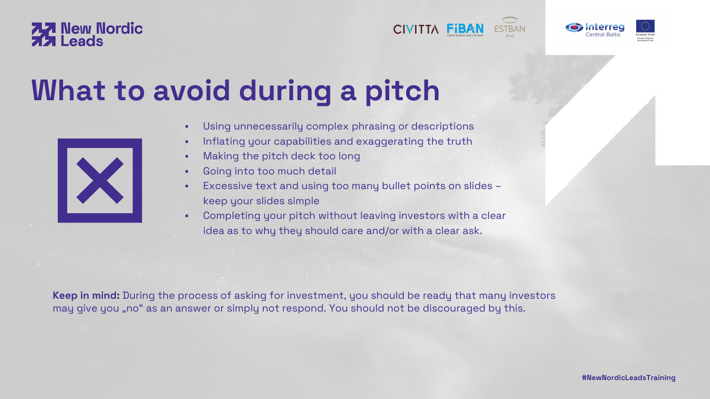- 
- 
- Using unnecessarily complex phrasing or descriptions • Inflating your capabilities and exaggerating the truth • Making the pitch deck too long
- Going into too much detail
- Excessive text and using too many bullet points on slides keep your slides simple
- Completing your pitch without leaving investors with a clear idea as to why they should care and/or with a clear ask.

**Keep in mind:** During the process of asking for investment, you should be ready that many investors may give you "no" as an answer or simply not respond. You should not be discouraged by this.







**#NewNordicLeadsTraining**





### **What to avoid during a pitch**

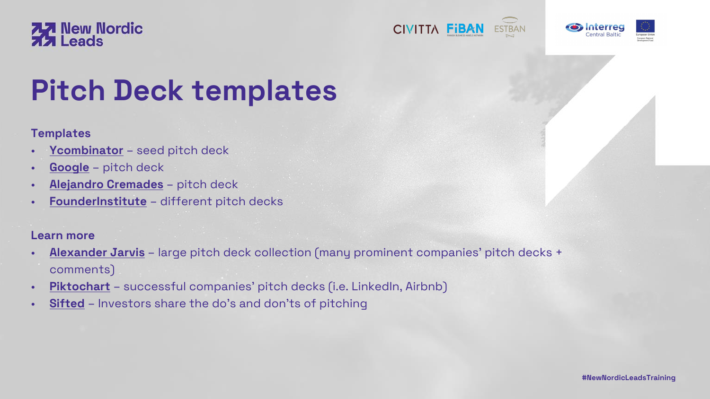#### **Templates**

- **[Ycombinator](https://docs.google.com/presentation/d/17nFIwCyf2Kz-Ao5HGnmvNZ74L8eSKA2C2Qdaoe-47OM/edit#slide=id.p)** seed pitch deck
- **[Google](https://docs.google.com/presentation/d/17wRgJpjHIyhtgglmn31CPL_O9h2oEdy80uodjd5iaQE/edit#slide=id.p)** pitch deck
- **[Alejandro Cremades](https://alejandrocremades.com/silicon-valley-legend-creates-pitch-deck-template-for-entrepreneurs/?utm_source=Forbes-pitch&utm_medium=Forbes-pitch&utm_campaign=Forbes-pitch&utm_term=Forbes-pitch&utm_content=Forbes-pitch)** pitch deck
- **[FounderInstitute](https://fi.co/pitch-deck)** different pitch decks

#### **Learn more**

- **[Alexander Jarvis](https://www.alexanderjarvis.com/pitch-deck-collection-from-vc-funded-startups/)** large pitch deck collection (many prominent companies' pitch decks + comments)
- **[Piktochart](https://piktochart.com/blog/startup-pitch-decks-what-you-can-learn/)** successful companies' pitch decks (i.e. LinkedIn, Airbnb)
- **[Sifted](https://sifted.eu/articles/pitch-deck-tips/)** Investors share the do's and don'ts of pitching









**#NewNordicLeadsTraining**





## **Pitch Deck templates**